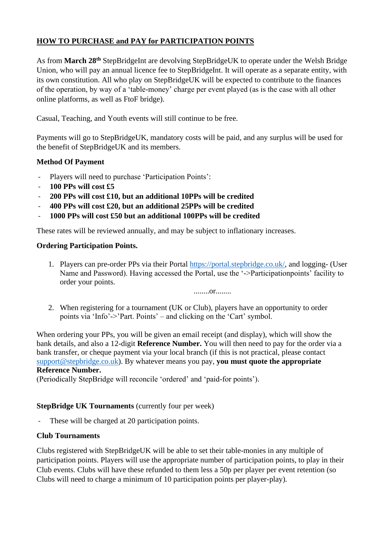# **HOW TO PURCHASE and PAY for PARTICIPATION POINTS**

As from **March 28th** StepBridgeInt are devolving StepBridgeUK to operate under the Welsh Bridge Union, who will pay an annual licence fee to StepBridgeInt. It will operate as a separate entity, with its own constitution. All who play on StepBridgeUK will be expected to contribute to the finances of the operation, by way of a 'table-money' charge per event played (as is the case with all other online platforms, as well as FtoF bridge).

Casual, Teaching, and Youth events will still continue to be free.

Payments will go to StepBridgeUK, mandatory costs will be paid, and any surplus will be used for the benefit of StepBridgeUK and its members.

### **Method Of Payment**

- Players will need to purchase 'Participation Points':
- **100 PPs will cost £5**
- **200 PPs will cost £10, but an additional 10PPs will be credited**
- **400 PPs will cost £20, but an additional 25PPs will be credited**
- **1000 PPs will cost £50 but an additional 100PPs will be credited**

These rates will be reviewed annually, and may be subject to inflationary increases.

#### **Ordering Participation Points.**

1. Players can pre-order PPs via their Portal [https://portal.stepbridge.co.uk/,](https://portal.stepbridge.co.uk/) and logging- (User Name and Password). Having accessed the Portal, use the '->Participationpoints' facility to order your points.

........or........

2. When registering for a tournament (UK or Club), players have an opportunity to order points via 'Info'->'Part. Points' – and clicking on the 'Cart' symbol.

When ordering your PPs, you will be given an email receipt (and display), which will show the bank details, and also a 12-digit **Reference Number.** You will then need to pay for the order via a bank transfer, or cheque payment via your local branch (if this is not practical, please contact [support@stepbridge.co.uk\)](mailto:support@stepbridge.co.uk). By whatever means you pay, **you must quote the appropriate Reference Number.**

(Periodically StepBridge will reconcile 'ordered' and 'paid-for points').

#### **StepBridge UK Tournaments** (currently four per week)

- These will be charged at 20 participation points.

#### **Club Tournaments**

Clubs registered with StepBridgeUK will be able to set their table-monies in any multiple of participation points. Players will use the appropriate number of participation points, to play in their Club events. Clubs will have these refunded to them less a 50p per player per event retention (so Clubs will need to charge a minimum of 10 participation points per player-play).